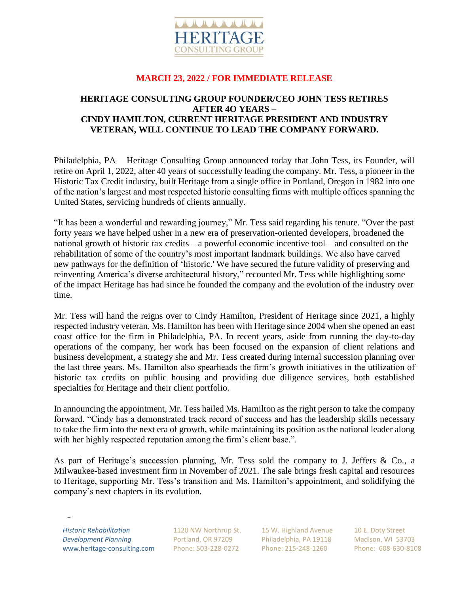

## **MARCH 23, 2022 / FOR IMMEDIATE RELEASE**

## **HERITAGE CONSULTING GROUP FOUNDER/CEO JOHN TESS RETIRES AFTER 4O YEARS – CINDY HAMILTON, CURRENT HERITAGE PRESIDENT AND INDUSTRY VETERAN, WILL CONTINUE TO LEAD THE COMPANY FORWARD.**

Philadelphia, PA – Heritage Consulting Group announced today that John Tess, its Founder, will retire on April 1, 2022, after 40 years of successfully leading the company. Mr. Tess, a pioneer in the Historic Tax Credit industry, built Heritage from a single office in Portland, Oregon in 1982 into one of the nation's largest and most respected historic consulting firms with multiple offices spanning the United States, servicing hundreds of clients annually.

"It has been a wonderful and rewarding journey," Mr. Tess said regarding his tenure. "Over the past forty years we have helped usher in a new era of preservation-oriented developers, broadened the national growth of historic tax credits – a powerful economic incentive tool – and consulted on the rehabilitation of some of the country's most important landmark buildings. We also have carved new pathways for the definition of 'historic.' We have secured the future validity of preserving and reinventing America's diverse architectural history," recounted Mr. Tess while highlighting some of the impact Heritage has had since he founded the company and the evolution of the industry over time.

Mr. Tess will hand the reigns over to Cindy Hamilton, President of Heritage since 2021, a highly respected industry veteran. Ms. Hamilton has been with Heritage since 2004 when she opened an east coast office for the firm in Philadelphia, PA. In recent years, aside from running the day-to-day operations of the company, her work has been focused on the expansion of client relations and business development, a strategy she and Mr. Tess created during internal succession planning over the last three years. Ms. Hamilton also spearheads the firm's growth initiatives in the utilization of historic tax credits on public housing and providing due diligence services, both established specialties for Heritage and their client portfolio.

In announcing the appointment, Mr. Tess hailed Ms. Hamilton as the right person to take the company forward. "Cindy has a demonstrated track record of success and has the leadership skills necessary to take the firm into the next era of growth, while maintaining its position as the national leader along with her highly respected reputation among the firm's client base.".

As part of Heritage's succession planning, Mr. Tess sold the company to J. Jeffers & Co., a Milwaukee-based investment firm in November of 2021. The sale brings fresh capital and resources to Heritage, supporting Mr. Tess's transition and Ms. Hamilton's appointment, and solidifying the company's next chapters in its evolution.

*Historic Rehabilitation Development Planning* www.heritage-consulting.com

\_

1120 NW Northrup St. Portland, OR 97209 Phone: 503-228-0272

15 W. Highland Avenue Philadelphia, PA 19118 Phone: 215-248-1260

10 E. Doty Street Madison, WI 53703 Phone: 608-630-8108